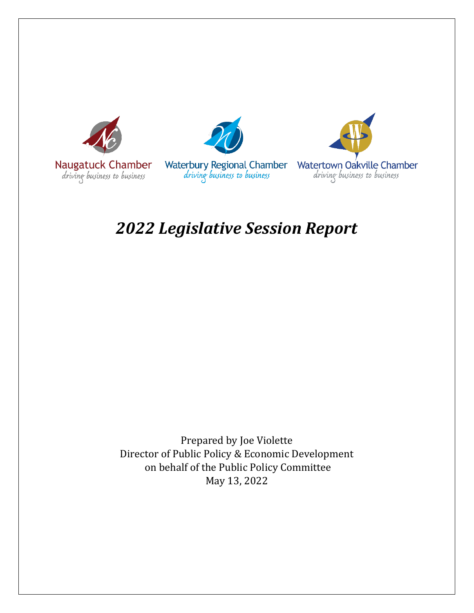





# *2022 Legislative Session Report*

Prepared by Joe Violette Director of Public Policy & Economic Development on behalf of the Public Policy Committee May 13, 2022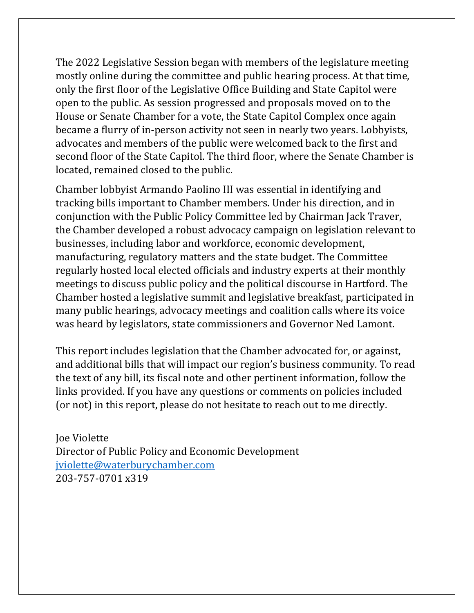The 2022 Legislative Session began with members of the legislature meeting mostly online during the committee and public hearing process. At that time, only the first floor of the Legislative Office Building and State Capitol were open to the public. As session progressed and proposals moved on to the House or Senate Chamber for a vote, the State Capitol Complex once again became a flurry of in-person activity not seen in nearly two years. Lobbyists, advocates and members of the public were welcomed back to the first and second floor of the State Capitol. The third floor, where the Senate Chamber is located, remained closed to the public.

Chamber lobbyist Armando Paolino III was essential in identifying and tracking bills important to Chamber members. Under his direction, and in conjunction with the Public Policy Committee led by Chairman Jack Traver, the Chamber developed a robust advocacy campaign on legislation relevant to businesses, including labor and workforce, economic development, manufacturing, regulatory matters and the state budget. The Committee regularly hosted local elected officials and industry experts at their monthly meetings to discuss public policy and the political discourse in Hartford. The Chamber hosted a legislative summit and legislative breakfast, participated in many public hearings, advocacy meetings and coalition calls where its voice was heard by legislators, state commissioners and Governor Ned Lamont.

This report includes legislation that the Chamber advocated for, or against, and additional bills that will impact our region's business community. To read the text of any bill, its fiscal note and other pertinent information, follow the links provided. If you have any questions or comments on policies included (or not) in this report, please do not hesitate to reach out to me directly.

Joe Violette Director of Public Policy and Economic Development [jviolette@waterburychamber.com](mailto:jviolette@waterburychamber.com) 203-757-0701 x319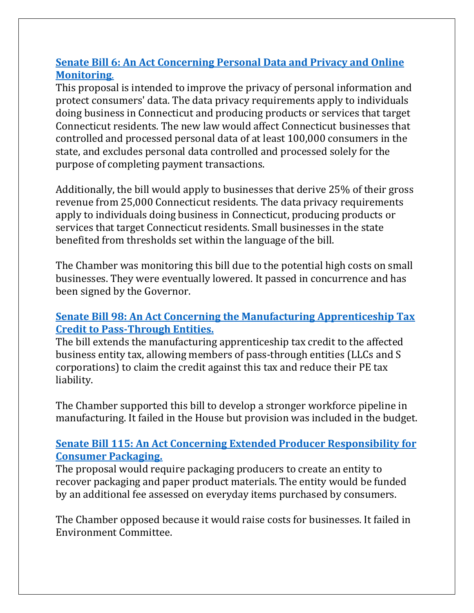### **Senate Bill 6: An Act Concerning Personal [Data and Privacy and Online](https://www.cga.ct.gov/asp/cgabillstatus/cgabillstatus.asp?selBillType=Bill&which_year=2022&bill_num=6)  [Monitoring](https://www.cga.ct.gov/asp/cgabillstatus/cgabillstatus.asp?selBillType=Bill&which_year=2022&bill_num=6)**.

This proposal is intended to improve the privacy of personal information and protect consumers' data. The data privacy requirements apply to individuals doing business in Connecticut and producing products or services that target Connecticut residents. The new law would affect Connecticut businesses that controlled and processed personal data of at least 100,000 consumers in the state, and excludes personal data controlled and processed solely for the purpose of completing payment transactions.

Additionally, the bill would apply to businesses that derive 25% of their gross revenue from 25,000 Connecticut residents. The data privacy requirements apply to individuals doing business in Connecticut, producing products or services that target Connecticut residents. Small businesses in the state benefited from thresholds set within the language of the bill.

The Chamber was monitoring this bill due to the potential high costs on small businesses. They were eventually lowered. It passed in concurrence and has been signed by the Governor.

#### **[Senate Bill 98: An Act Concerning the](https://www.cga.ct.gov/asp/cgabillstatus/cgabillstatus.asp?selBillType=Bill&which_year=2022&bill_num=98) Manufacturing Apprenticeship Tax Credit to [Pass-Through Entities.](https://www.cga.ct.gov/asp/cgabillstatus/cgabillstatus.asp?selBillType=Bill&which_year=2022&bill_num=98)**

The bill extends the manufacturing apprenticeship tax credit to the affected business entity tax, allowing members of pass-through entities (LLCs and S corporations) to claim the credit against this tax and reduce their PE tax liability.

The Chamber supported this bill to develop a stronger workforce pipeline in manufacturing. It failed in the House but provision was included in the budget.

#### **[Senate Bill 115: An Act Concerning Extended Producer Responsibility for](https://www.cga.ct.gov/asp/cgabillstatus/cgabillstatus.asp?selBillType=Bill&which_year=2022&bill_num=115)  [Consumer Packaging.](https://www.cga.ct.gov/asp/cgabillstatus/cgabillstatus.asp?selBillType=Bill&which_year=2022&bill_num=115)**

The proposal would require packaging producers to create an entity to recover packaging and paper product materials. The entity would be funded by an additional fee assessed on everyday items purchased by consumers.

The Chamber opposed because it would raise costs for businesses. It failed in Environment Committee.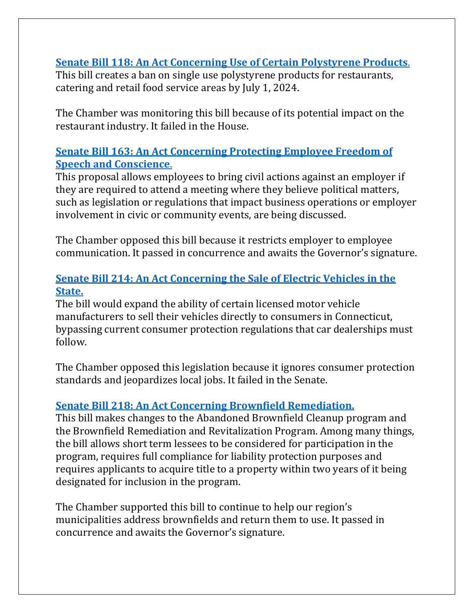**Senate Bill 118: An Act Concerning Use [of Certain Polystyrene Products](https://www.cga.ct.gov/asp/cgabillstatus/cgabillstatus.asp?selBillType=Bill&which_year=2022&bill_num=118)**. This bill creates a ban on single use polystyrene products for restaurants, catering and retail food service areas by July 1, 2024.

The Chamber was monitoring this bill because of its potential impact on the restaurant industry. It failed in the House.

#### **Senate Bill 163: An Act Concerning [Protecting Employee Freedom of](https://www.cga.ct.gov/asp/cgabillstatus/cgabillstatus.asp?selBillType=Bill&which_year=2022&bill_num=163)  [Speech and Conscience](https://www.cga.ct.gov/asp/cgabillstatus/cgabillstatus.asp?selBillType=Bill&which_year=2022&bill_num=163)**.

This proposal allows employees to bring civil actions against an employer if they are required to attend a meeting where they believe political matters, such as legislation or regulations that impact business operations or employer involvement in civic or community events, are being discussed.

The Chamber opposed this bill because it restricts employer to employee communication. It passed in concurrence and awaits the Governor's signature.

#### **[Senate Bill 214: An Act Concerning the](https://www.cga.ct.gov/asp/cgabillstatus/cgabillstatus.asp?selBillType=Bill&which_year=2022&bill_num=214) Sale of Electric Vehicles in the [State.](https://www.cga.ct.gov/asp/cgabillstatus/cgabillstatus.asp?selBillType=Bill&which_year=2022&bill_num=214)**

The bill would expand the ability of certain licensed motor vehicle manufacturers to sell their vehicles directly to consumers in Connecticut, bypassing current consumer protection regulations that car dealerships must follow.

The Chamber opposed this legislation because it ignores consumer protection standards and jeopardizes local jobs. It failed in the Senate.

## **[Senate Bill 218: An Act Concerning Brownfield Remediation.](https://www.cga.ct.gov/asp/cgabillstatus/cgabillstatus.asp?selBillType=Bill&which_year=2022&bill_num=218)**

This bill makes changes to the Abandoned Brownfield Cleanup program and the Brownfield Remediation and Revitalization Program. Among many things, the bill allows short term lessees to be considered for participation in the program, requires full compliance for liability protection purposes and requires applicants to acquire title to a property within two years of it being designated for inclusion in the program.

The Chamber supported this bill to continue to help our region's municipalities address brownfields and return them to use. It passed in concurrence and awaits the Governor's signature.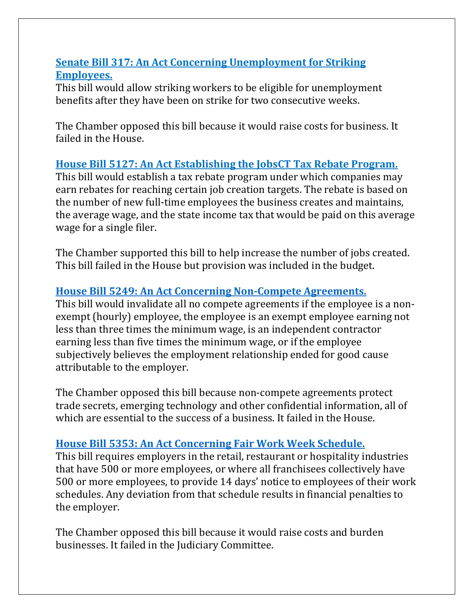#### **[Senate Bill 317: An Act Concerning Unemployment for](https://www.cga.ct.gov/asp/cgabillstatus/cgabillstatus.asp?selBillType=Bill&which_year=2022&bill_num=317) Striking [Employees.](https://www.cga.ct.gov/asp/cgabillstatus/cgabillstatus.asp?selBillType=Bill&which_year=2022&bill_num=317)**

This bill would allow striking workers to be eligible for unemployment benefits after they have been on strike for two consecutive weeks.

The Chamber opposed this bill because it would raise costs for business. It failed in the House.

#### **[House Bill 5127: An Act Establishing the JobsCT Tax Rebate Program.](https://www.cga.ct.gov/asp/cgabillstatus/cgabillstatus.asp?selBillType=Bill&which_year=2022&bill_num=5127)**

This bill would establish a tax rebate program under which companies may earn rebates for reaching certain job creation targets. The rebate is based on the number of new full-time employees the business creates and maintains, the average wage, and the state income tax that would be paid on this average wage for a single filer.

The Chamber supported this bill to help increase the number of jobs created. This bill failed in the House but provision was included in the budget.

#### **House Bill 5249: An Act Concerning [Non-Compete Agreements.](https://www.cga.ct.gov/asp/cgabillstatus/cgabillstatus.asp?selBillType=Bill&which_year=2022&bill_num=5249)**

This bill would invalidate all no compete agreements if the employee is a nonexempt (hourly) employee, the employee is an exempt employee earning not less than three times the minimum wage, is an independent contractor earning less than five times the minimum wage, or if the employee subjectively believes the employment relationship ended for good cause attributable to the employer.

The Chamber opposed this bill because non-compete agreements protect trade secrets, emerging technology and other confidential information, all of which are essential to the success of a business. It failed in the House.

#### **House Bill 5353: An Act Concerning [Fair Work Week Schedule.](https://www.cga.ct.gov/asp/cgabillstatus/cgabillstatus.asp?selBillType=Bill&which_year=2022&bill_num=5353)**

This bill requires employers in the retail, restaurant or hospitality industries that have 500 or more employees, or where all franchisees collectively have 500 or more employees, to provide 14 days' notice to employees of their work schedules. Any deviation from that schedule results in financial penalties to the employer.

The Chamber opposed this bill because it would raise costs and burden businesses. It failed in the Judiciary Committee.